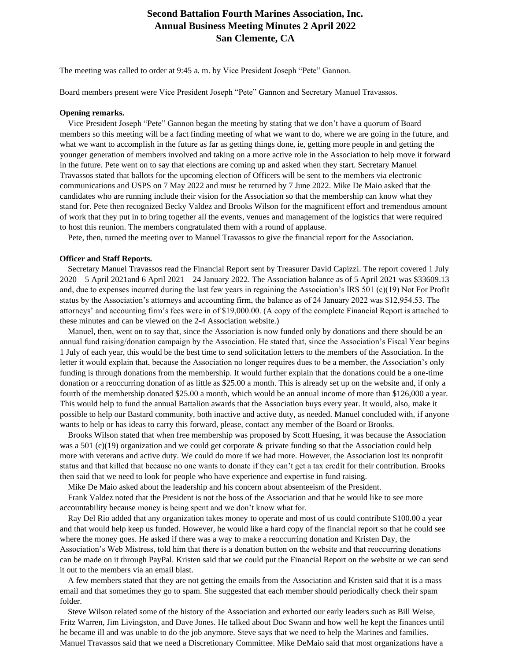## **Second Battalion Fourth Marines Association, Inc. Annual Business Meeting Minutes 2 April 2022 San Clemente, CA**

The meeting was called to order at 9:45 a. m. by Vice President Joseph "Pete" Gannon.

Board members present were Vice President Joseph "Pete" Gannon and Secretary Manuel Travassos.

## **Opening remarks.**

 Vice President Joseph "Pete" Gannon began the meeting by stating that we don't have a quorum of Board members so this meeting will be a fact finding meeting of what we want to do, where we are going in the future, and what we want to accomplish in the future as far as getting things done, ie, getting more people in and getting the younger generation of members involved and taking on a more active role in the Association to help move it forward in the future. Pete went on to say that elections are coming up and asked when they start. Secretary Manuel Travassos stated that ballots for the upcoming election of Officers will be sent to the members via electronic communications and USPS on 7 May 2022 and must be returned by 7 June 2022. Mike De Maio asked that the candidates who are running include their vision for the Association so that the membership can know what they stand for. Pete then recognized Becky Valdez and Brooks Wilson for the magnificent effort and tremendous amount of work that they put in to bring together all the events, venues and management of the logistics that were required to host this reunion. The members congratulated them with a round of applause.

Pete, then, turned the meeting over to Manuel Travassos to give the financial report for the Association.

## **Officer and Staff Reports.**

 Secretary Manuel Travassos read the Financial Report sent by Treasurer David Capizzi. The report covered 1 July 2020 – 5 April 2021and 6 April 2021 – 24 January 2022. The Association balance as of 5 April 2021 was \$33609.13 and, due to expenses incurred during the last few years in regaining the Association's IRS 501 (c)(19) Not For Profit status by the Association's attorneys and accounting firm, the balance as of 24 January 2022 was \$12,954.53. The attorneys' and accounting firm's fees were in of \$19,000.00. (A copy of the complete Financial Report is attached to these minutes and can be viewed on the 2-4 Association website.)

 Manuel, then, went on to say that, since the Association is now funded only by donations and there should be an annual fund raising/donation campaign by the Association. He stated that, since the Association's Fiscal Year begins 1 July of each year, this would be the best time to send solicitation letters to the members of the Association. In the letter it would explain that, because the Association no longer requires dues to be a member, the Association's only funding is through donations from the membership. It would further explain that the donations could be a one-time donation or a reoccurring donation of as little as \$25.00 a month. This is already set up on the website and, if only a fourth of the membership donated \$25.00 a month, which would be an annual income of more than \$126,000 a year. This would help to fund the annual Battalion awards that the Association buys every year. It would, also, make it possible to help our Bastard community, both inactive and active duty, as needed. Manuel concluded with, if anyone wants to help or has ideas to carry this forward, please, contact any member of the Board or Brooks.

 Brooks Wilson stated that when free membership was proposed by Scott Huesing, it was because the Association was a 501 (c)(19) organization and we could get corporate & private funding so that the Association could help more with veterans and active duty. We could do more if we had more. However, the Association lost its nonprofit status and that killed that because no one wants to donate if they can't get a tax credit for their contribution. Brooks then said that we need to look for people who have experience and expertise in fund raising.

Mike De Maio asked about the leadership and his concern about absenteeism of the President.

 Frank Valdez noted that the President is not the boss of the Association and that he would like to see more accountability because money is being spent and we don't know what for.

 Ray Del Rio added that any organization takes money to operate and most of us could contribute \$100.00 a year and that would help keep us funded. However, he would like a hard copy of the financial report so that he could see where the money goes. He asked if there was a way to make a reoccurring donation and Kristen Day, the Association's Web Mistress, told him that there is a donation button on the website and that reoccurring donations can be made on it through PayPal. Kristen said that we could put the Financial Report on the website or we can send it out to the members via an email blast.

 A few members stated that they are not getting the emails from the Association and Kristen said that it is a mass email and that sometimes they go to spam. She suggested that each member should periodically check their spam folder.

 Steve Wilson related some of the history of the Association and exhorted our early leaders such as Bill Weise, Fritz Warren, Jim Livingston, and Dave Jones. He talked about Doc Swann and how well he kept the finances until he became ill and was unable to do the job anymore. Steve says that we need to help the Marines and families. Manuel Travassos said that we need a Discretionary Committee. Mike DeMaio said that most organizations have a